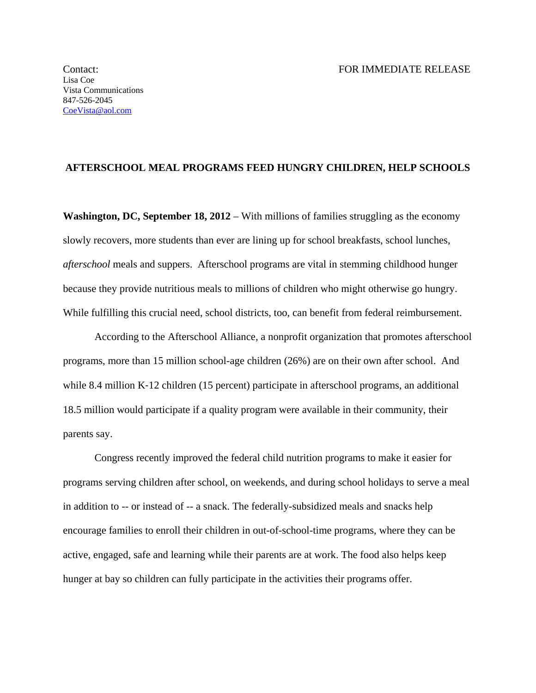## **AFTERSCHOOL MEAL PROGRAMS FEED HUNGRY CHILDREN, HELP SCHOOLS**

**Washington, DC, September 18, 2012** – With millions of families struggling as the economy slowly recovers, more students than ever are lining up for school breakfasts, school lunches, *afterschool* meals and suppers. Afterschool programs are vital in stemming childhood hunger because they provide nutritious meals to millions of children who might otherwise go hungry. While fulfilling this crucial need, school districts, too, can benefit from federal reimbursement.

According to the Afterschool Alliance, a nonprofit organization that promotes afterschool programs, more than 15 million school-age children (26%) are on their own after school. And while 8.4 million K-12 children (15 percent) participate in afterschool programs, an additional 18.5 million would participate if a quality program were available in their community, their parents say.

Congress recently improved the federal child nutrition programs to make it easier for programs serving children after school, on weekends, and during school holidays to serve a meal in addition to -- or instead of -- a snack. The federally-subsidized meals and snacks help encourage families to enroll their children in out-of-school-time programs, where they can be active, engaged, safe and learning while their parents are at work. The food also helps keep hunger at bay so children can fully participate in the activities their programs offer.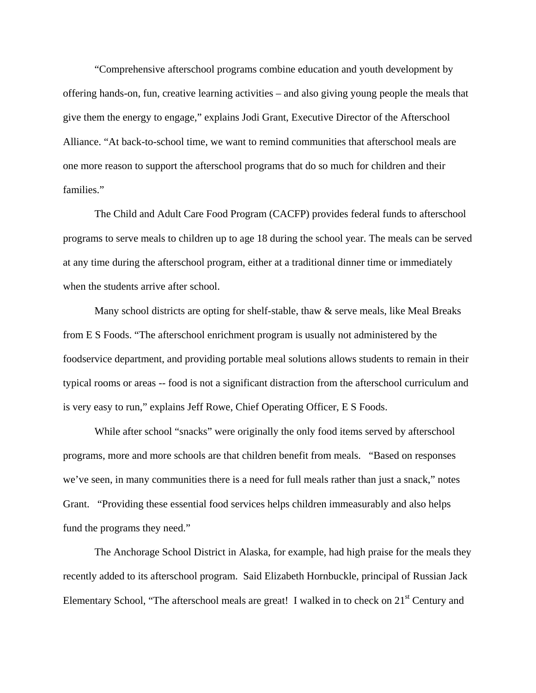"Comprehensive afterschool programs combine education and youth development by offering hands-on, fun, creative learning activities – and also giving young people the meals that give them the energy to engage," explains Jodi Grant, Executive Director of the Afterschool Alliance. "At back-to-school time, we want to remind communities that afterschool meals are one more reason to support the afterschool programs that do so much for children and their families."

The Child and Adult Care Food Program (CACFP) provides federal funds to afterschool programs to serve meals to children up to age 18 during the school year. The meals can be served at any time during the afterschool program, either at a traditional dinner time or immediately when the students arrive after school.

Many school districts are opting for shelf-stable, thaw  $\&$  serve meals, like Meal Breaks from E S Foods. "The afterschool enrichment program is usually not administered by the foodservice department, and providing portable meal solutions allows students to remain in their typical rooms or areas -- food is not a significant distraction from the afterschool curriculum and is very easy to run," explains Jeff Rowe, Chief Operating Officer, E S Foods.

 While after school "snacks" were originally the only food items served by afterschool programs, more and more schools are that children benefit from meals. "Based on responses we've seen, in many communities there is a need for full meals rather than just a snack," notes Grant. "Providing these essential food services helps children immeasurably and also helps fund the programs they need."

 The Anchorage School District in Alaska, for example, had high praise for the meals they recently added to its afterschool program. Said Elizabeth Hornbuckle, principal of Russian Jack Elementary School, "The afterschool meals are great! I walked in to check on 21<sup>st</sup> Century and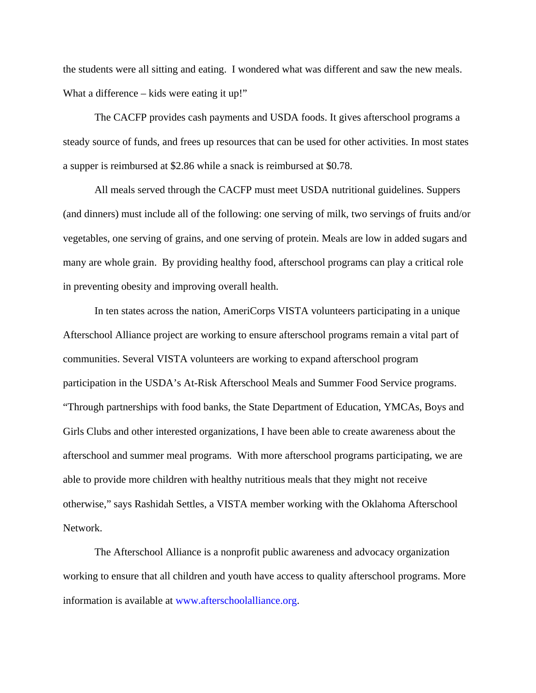the students were all sitting and eating. I wondered what was different and saw the new meals. What a difference – kids were eating it up!"

The CACFP provides cash payments and USDA foods. It gives afterschool programs a steady source of funds, and frees up resources that can be used for other activities. In most states a supper is reimbursed at \$2.86 while a snack is reimbursed at \$0.78.

All meals served through the CACFP must meet USDA nutritional guidelines. Suppers (and dinners) must include all of the following: one serving of milk, two servings of fruits and/or vegetables, one serving of grains, and one serving of protein. Meals are low in added sugars and many are whole grain. By providing healthy food, afterschool programs can play a critical role in preventing obesity and improving overall health.

In ten states across the nation, AmeriCorps VISTA volunteers participating in a unique Afterschool Alliance project are working to ensure afterschool programs remain a vital part of communities. Several VISTA volunteers are working to expand afterschool program participation in the USDA's At-Risk Afterschool Meals and Summer Food Service programs. "Through partnerships with food banks, the State Department of Education, YMCAs, Boys and Girls Clubs and other interested organizations, I have been able to create awareness about the afterschool and summer meal programs. With more afterschool programs participating, we are able to provide more children with healthy nutritious meals that they might not receive otherwise," says Rashidah Settles, a VISTA member working with the Oklahoma Afterschool Network.

The Afterschool Alliance is a nonprofit public awareness and advocacy organization working to ensure that all children and youth have access to quality afterschool programs. More information is available at www.afterschoolalliance.org.